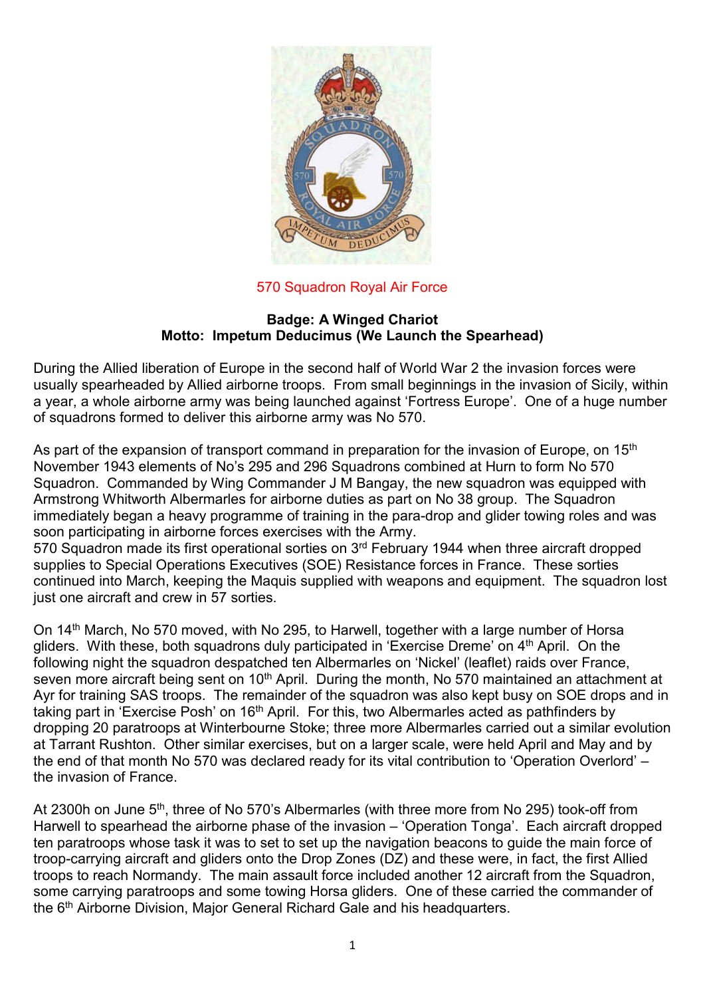

## 570 Squadron Royal Air Force

## **Badge: A Winged Chariot Motto: Impetum Deducimus (We Launch the Spearhead)**

During the Allied liberation of Europe in the second half of World War 2 the invasion forces were usually spearheaded by Allied airborne troops. From small beginnings in the invasion of Sicily, within a year, a whole airborne army was being launched against 'Fortress Europe'. One of a huge number of squadrons formed to deliver this airborne army was No 570.

As part of the expansion of transport command in preparation for the invasion of Europe, on 15<sup>th</sup> November 1943 elements of No's 295 and 296 Squadrons combined at Hurn to form No 570 Squadron. Commanded by Wing Commander J M Bangay, the new squadron was equipped with Armstrong Whitworth Albermarles for airborne duties as part on No 38 group. The Squadron immediately began a heavy programme of training in the para-drop and glider towing roles and was soon participating in airborne forces exercises with the Army.

570 Squadron made its first operational sorties on 3<sup>rd</sup> February 1944 when three aircraft dropped supplies to Special Operations Executives (SOE) Resistance forces in France. These sorties continued into March, keeping the Maquis supplied with weapons and equipment. The squadron lost just one aircraft and crew in 57 sorties.

On 14th March, No 570 moved, with No 295, to Harwell, together with a large number of Horsa gliders. With these, both squadrons duly participated in 'Exercise Dreme' on 4th April. On the following night the squadron despatched ten Albermarles on 'Nickel' (leaflet) raids over France, seven more aircraft being sent on 10<sup>th</sup> April. During the month, No 570 maintained an attachment at Ayr for training SAS troops. The remainder of the squadron was also kept busy on SOE drops and in taking part in 'Exercise Posh' on 16<sup>th</sup> April. For this, two Albermarles acted as pathfinders by dropping 20 paratroops at Winterbourne Stoke; three more Albermarles carried out a similar evolution at Tarrant Rushton. Other similar exercises, but on a larger scale, were held April and May and by the end of that month No 570 was declared ready for its vital contribution to 'Operation Overlord' – the invasion of France.

At 2300h on June 5<sup>th</sup>, three of No 570's Albermarles (with three more from No 295) took-off from Harwell to spearhead the airborne phase of the invasion – 'Operation Tonga'. Each aircraft dropped ten paratroops whose task it was to set to set up the navigation beacons to guide the main force of troop-carrying aircraft and gliders onto the Drop Zones (DZ) and these were, in fact, the first Allied troops to reach Normandy. The main assault force included another 12 aircraft from the Squadron, some carrying paratroops and some towing Horsa gliders. One of these carried the commander of the 6th Airborne Division, Major General Richard Gale and his headquarters.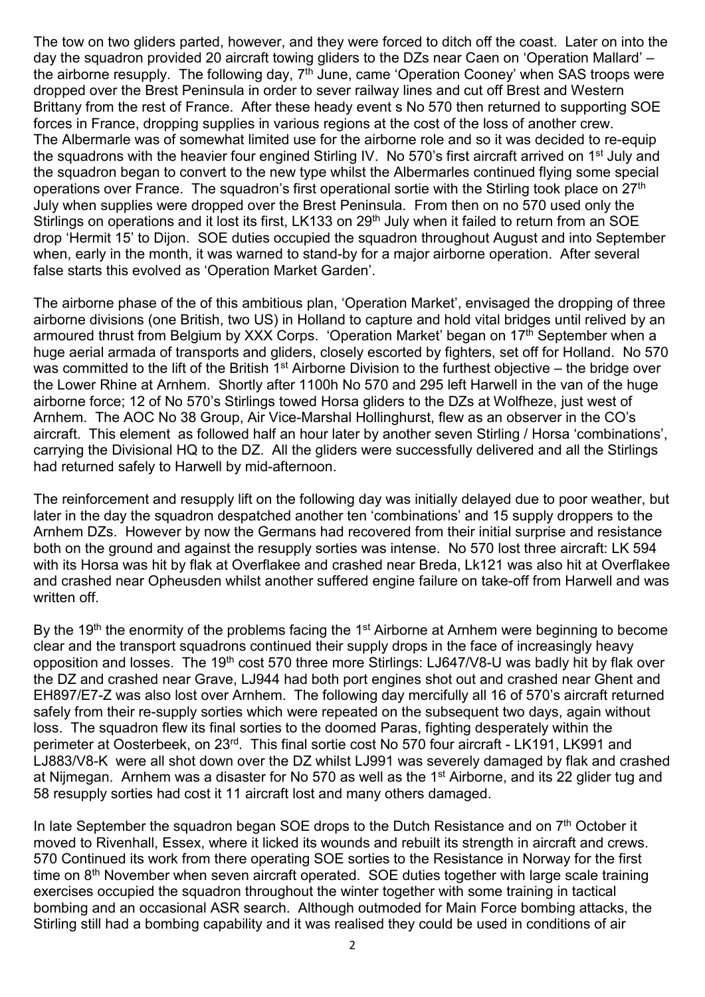The tow on two gliders parted, however, and they were forced to ditch off the coast. Later on into the day the squadron provided 20 aircraft towing gliders to the DZs near Caen on 'Operation Mallard' – the airborne resupply. The following day,  $7<sup>th</sup>$  June, came 'Operation Cooney' when SAS troops were dropped over the Brest Peninsula in order to sever railway lines and cut off Brest and Western Brittany from the rest of France. After these heady event s No 570 then returned to supporting SOE forces in France, dropping supplies in various regions at the cost of the loss of another crew. The Albermarle was of somewhat limited use for the airborne role and so it was decided to re-equip the squadrons with the heavier four engined Stirling IV. No 570's first aircraft arrived on 1st July and the squadron began to convert to the new type whilst the Albermarles continued flying some special operations over France. The squadron's first operational sortie with the Stirling took place on 27<sup>th</sup> July when supplies were dropped over the Brest Peninsula. From then on no 570 used only the Stirlings on operations and it lost its first, LK133 on 29<sup>th</sup> July when it failed to return from an SOE drop 'Hermit 15' to Dijon. SOE duties occupied the squadron throughout August and into September when, early in the month, it was warned to stand-by for a major airborne operation. After several false starts this evolved as 'Operation Market Garden'.

The airborne phase of the of this ambitious plan, 'Operation Market', envisaged the dropping of three airborne divisions (one British, two US) in Holland to capture and hold vital bridges until relived by an armoured thrust from Belgium by XXX Corps. 'Operation Market' began on 17th September when a huge aerial armada of transports and gliders, closely escorted by fighters, set off for Holland. No 570 was committed to the lift of the British 1<sup>st</sup> Airborne Division to the furthest objective – the bridge over the Lower Rhine at Arnhem. Shortly after 1100h No 570 and 295 left Harwell in the van of the huge airborne force; 12 of No 570's Stirlings towed Horsa gliders to the DZs at Wolfheze, just west of Arnhem. The AOC No 38 Group, Air Vice-Marshal Hollinghurst, flew as an observer in the CO's aircraft. This element as followed half an hour later by another seven Stirling / Horsa 'combinations', carrying the Divisional HQ to the DZ. All the gliders were successfully delivered and all the Stirlings had returned safely to Harwell by mid-afternoon.

The reinforcement and resupply lift on the following day was initially delayed due to poor weather, but later in the day the squadron despatched another ten 'combinations' and 15 supply droppers to the Arnhem DZs. However by now the Germans had recovered from their initial surprise and resistance both on the ground and against the resupply sorties was intense. No 570 lost three aircraft: LK 594 with its Horsa was hit by flak at Overflakee and crashed near Breda, Lk121 was also hit at Overflakee and crashed near Opheusden whilst another suffered engine failure on take-off from Harwell and was written off.

By the 19<sup>th</sup> the enormity of the problems facing the 1<sup>st</sup> Airborne at Arnhem were beginning to become clear and the transport squadrons continued their supply drops in the face of increasingly heavy opposition and losses. The 19th cost 570 three more Stirlings: LJ647/V8-U was badly hit by flak over the DZ and crashed near Grave, LJ944 had both port engines shot out and crashed near Ghent and EH897/E7-Z was also lost over Arnhem. The following day mercifully all 16 of 570's aircraft returned safely from their re-supply sorties which were repeated on the subsequent two days, again without loss. The squadron flew its final sorties to the doomed Paras, fighting desperately within the perimeter at Oosterbeek, on 23rd. This final sortie cost No 570 four aircraft - LK191, LK991 and LJ883/V8-K were all shot down over the DZ whilst LJ991 was severely damaged by flak and crashed at Niimegan. Arnhem was a disaster for No 570 as well as the 1<sup>st</sup> Airborne, and its 22 glider tug and 58 resupply sorties had cost it 11 aircraft lost and many others damaged.

In late September the squadron began SOE drops to the Dutch Resistance and on  $7<sup>th</sup>$  October it moved to Rivenhall, Essex, where it licked its wounds and rebuilt its strength in aircraft and crews. 570 Continued its work from there operating SOE sorties to the Resistance in Norway for the first time on 8<sup>th</sup> November when seven aircraft operated. SOE duties together with large scale training exercises occupied the squadron throughout the winter together with some training in tactical bombing and an occasional ASR search. Although outmoded for Main Force bombing attacks, the Stirling still had a bombing capability and it was realised they could be used in conditions of air